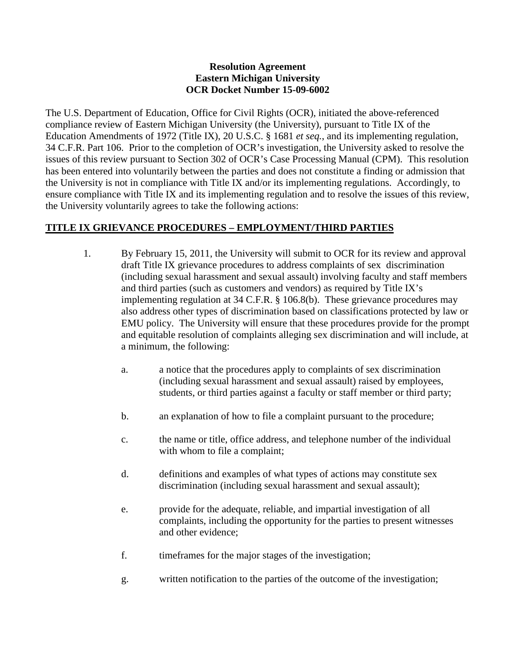### **Resolution Agreement Eastern Michigan University OCR Docket Number 15-09-6002**

The U.S. Department of Education, Office for Civil Rights (OCR), initiated the above-referenced compliance review of Eastern Michigan University (the University), pursuant to Title IX of the Education Amendments of 1972 (Title IX), 20 U.S.C. § 1681 *et seq.*, and its implementing regulation, 34 C.F.R. Part 106. Prior to the completion of OCR's investigation, the University asked to resolve the issues of this review pursuant to Section 302 of OCR's Case Processing Manual (CPM). This resolution has been entered into voluntarily between the parties and does not constitute a finding or admission that the University is not in compliance with Title IX and/or its implementing regulations. Accordingly, to ensure compliance with Title IX and its implementing regulation and to resolve the issues of this review, the University voluntarily agrees to take the following actions:

## **TITLE IX GRIEVANCE PROCEDURES – EMPLOYMENT/THIRD PARTIES**

- 1. By February 15, 2011, the University will submit to OCR for its review and approval draft Title IX grievance procedures to address complaints of sex discrimination (including sexual harassment and sexual assault) involving faculty and staff members and third parties (such as customers and vendors) as required by Title IX's implementing regulation at 34 C.F.R. § 106.8(b). These grievance procedures may also address other types of discrimination based on classifications protected by law or EMU policy. The University will ensure that these procedures provide for the prompt and equitable resolution of complaints alleging sex discrimination and will include, at a minimum, the following:
	- a. a notice that the procedures apply to complaints of sex discrimination (including sexual harassment and sexual assault) raised by employees, students, or third parties against a faculty or staff member or third party;
	- b. an explanation of how to file a complaint pursuant to the procedure;
	- c. the name or title, office address, and telephone number of the individual with whom to file a complaint;
	- d. definitions and examples of what types of actions may constitute sex discrimination (including sexual harassment and sexual assault);
	- e. provide for the adequate, reliable, and impartial investigation of all complaints, including the opportunity for the parties to present witnesses and other evidence;
	- f. timeframes for the major stages of the investigation;
	- g. written notification to the parties of the outcome of the investigation;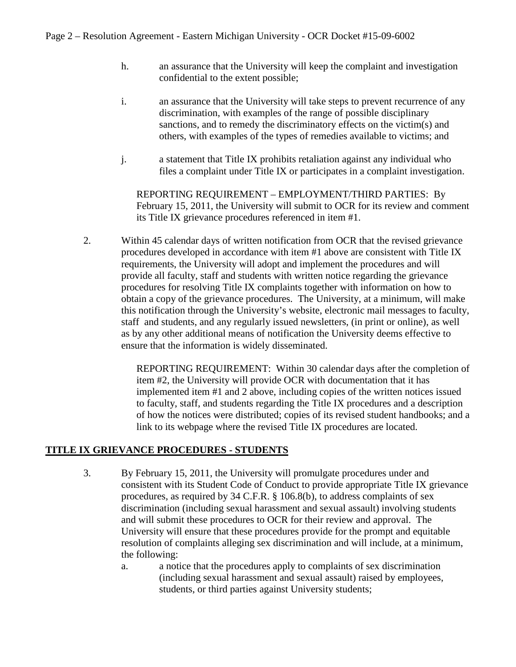- h. an assurance that the University will keep the complaint and investigation confidential to the extent possible;
- i. an assurance that the University will take steps to prevent recurrence of any discrimination, with examples of the range of possible disciplinary sanctions, and to remedy the discriminatory effects on the victim(s) and others, with examples of the types of remedies available to victims; and
- j. a statement that Title IX prohibits retaliation against any individual who files a complaint under Title IX or participates in a complaint investigation.

REPORTING REQUIREMENT – EMPLOYMENT/THIRD PARTIES: By February 15, 2011, the University will submit to OCR for its review and comment its Title IX grievance procedures referenced in item #1.

2. Within 45 calendar days of written notification from OCR that the revised grievance procedures developed in accordance with item #1 above are consistent with Title IX requirements, the University will adopt and implement the procedures and will provide all faculty, staff and students with written notice regarding the grievance procedures for resolving Title IX complaints together with information on how to obtain a copy of the grievance procedures. The University, at a minimum, will make this notification through the University's website, electronic mail messages to faculty, staff and students, and any regularly issued newsletters, (in print or online), as well as by any other additional means of notification the University deems effective to ensure that the information is widely disseminated.

> REPORTING REQUIREMENT: Within 30 calendar days after the completion of item #2, the University will provide OCR with documentation that it has implemented item #1 and 2 above, including copies of the written notices issued to faculty, staff, and students regarding the Title IX procedures and a description of how the notices were distributed; copies of its revised student handbooks; and a link to its webpage where the revised Title IX procedures are located.

## **TITLE IX GRIEVANCE PROCEDURES - STUDENTS**

- 3. By February 15, 2011, the University will promulgate procedures under and consistent with its Student Code of Conduct to provide appropriate Title IX grievance procedures, as required by 34 C.F.R. § 106.8(b), to address complaints of sex discrimination (including sexual harassment and sexual assault) involving students and will submit these procedures to OCR for their review and approval. The University will ensure that these procedures provide for the prompt and equitable resolution of complaints alleging sex discrimination and will include, at a minimum, the following:
	- a. a notice that the procedures apply to complaints of sex discrimination (including sexual harassment and sexual assault) raised by employees, students, or third parties against University students;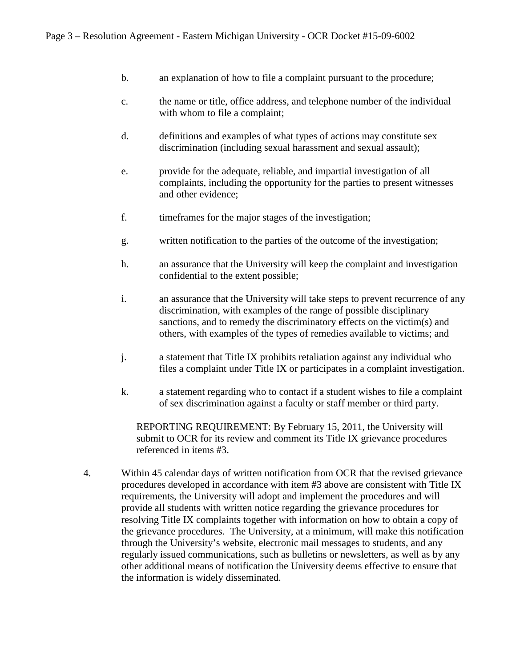- b. an explanation of how to file a complaint pursuant to the procedure;
- c. the name or title, office address, and telephone number of the individual with whom to file a complaint;
- d. definitions and examples of what types of actions may constitute sex discrimination (including sexual harassment and sexual assault);
- e. provide for the adequate, reliable, and impartial investigation of all complaints, including the opportunity for the parties to present witnesses and other evidence;
- f. timeframes for the major stages of the investigation;
- g. written notification to the parties of the outcome of the investigation;
- h. an assurance that the University will keep the complaint and investigation confidential to the extent possible;
- i. an assurance that the University will take steps to prevent recurrence of any discrimination, with examples of the range of possible disciplinary sanctions, and to remedy the discriminatory effects on the victim(s) and others, with examples of the types of remedies available to victims; and
- j. a statement that Title IX prohibits retaliation against any individual who files a complaint under Title IX or participates in a complaint investigation.
- k. a statement regarding who to contact if a student wishes to file a complaint of sex discrimination against a faculty or staff member or third party.

REPORTING REQUIREMENT: By February 15, 2011, the University will submit to OCR for its review and comment its Title IX grievance procedures referenced in items #3.

4. Within 45 calendar days of written notification from OCR that the revised grievance procedures developed in accordance with item #3 above are consistent with Title IX requirements, the University will adopt and implement the procedures and will provide all students with written notice regarding the grievance procedures for resolving Title IX complaints together with information on how to obtain a copy of the grievance procedures. The University, at a minimum, will make this notification through the University's website, electronic mail messages to students, and any regularly issued communications, such as bulletins or newsletters, as well as by any other additional means of notification the University deems effective to ensure that the information is widely disseminated.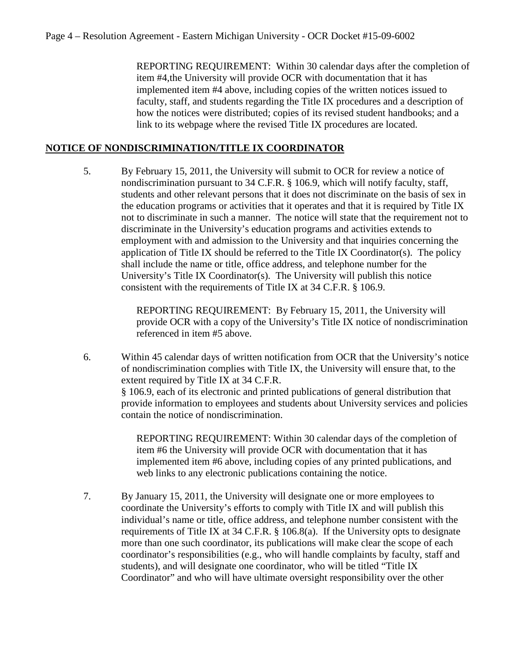REPORTING REQUIREMENT: Within 30 calendar days after the completion of item #4,the University will provide OCR with documentation that it has implemented item #4 above, including copies of the written notices issued to faculty, staff, and students regarding the Title IX procedures and a description of how the notices were distributed; copies of its revised student handbooks; and a link to its webpage where the revised Title IX procedures are located.

# **NOTICE OF NONDISCRIMINATION/TITLE IX COORDINATOR**

5. By February 15, 2011, the University will submit to OCR for review a notice of nondiscrimination pursuant to 34 C.F.R. § 106.9, which will notify faculty, staff, students and other relevant persons that it does not discriminate on the basis of sex in the education programs or activities that it operates and that it is required by Title IX not to discriminate in such a manner. The notice will state that the requirement not to discriminate in the University's education programs and activities extends to employment with and admission to the University and that inquiries concerning the application of Title IX should be referred to the Title IX Coordinator(s). The policy shall include the name or title, office address, and telephone number for the University's Title IX Coordinator(s). The University will publish this notice consistent with the requirements of Title IX at 34 C.F.R. § 106.9.

> REPORTING REQUIREMENT: By February 15, 2011, the University will provide OCR with a copy of the University's Title IX notice of nondiscrimination referenced in item #5 above.

6. Within 45 calendar days of written notification from OCR that the University's notice of nondiscrimination complies with Title IX, the University will ensure that, to the extent required by Title IX at 34 C.F.R. § 106.9, each of its electronic and printed publications of general distribution that provide information to employees and students about University services and policies contain the notice of nondiscrimination.

> REPORTING REQUIREMENT: Within 30 calendar days of the completion of item #6 the University will provide OCR with documentation that it has implemented item #6 above, including copies of any printed publications, and web links to any electronic publications containing the notice.

7. By January 15, 2011, the University will designate one or more employees to coordinate the University's efforts to comply with Title IX and will publish this individual's name or title, office address, and telephone number consistent with the requirements of Title IX at 34 C.F.R. § 106.8(a). If the University opts to designate more than one such coordinator, its publications will make clear the scope of each coordinator's responsibilities (e.g., who will handle complaints by faculty, staff and students), and will designate one coordinator, who will be titled "Title IX Coordinator" and who will have ultimate oversight responsibility over the other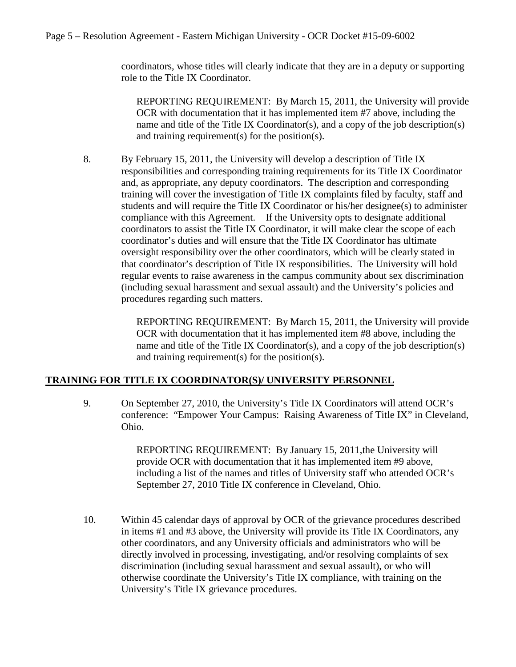coordinators, whose titles will clearly indicate that they are in a deputy or supporting role to the Title IX Coordinator.

REPORTING REQUIREMENT: By March 15, 2011, the University will provide OCR with documentation that it has implemented item #7 above, including the name and title of the Title IX Coordinator(s), and a copy of the job description(s) and training requirement(s) for the position(s).

8. By February 15, 2011, the University will develop a description of Title IX responsibilities and corresponding training requirements for its Title IX Coordinator and, as appropriate, any deputy coordinators. The description and corresponding training will cover the investigation of Title IX complaints filed by faculty, staff and students and will require the Title IX Coordinator or his/her designee(s) to administer compliance with this Agreement. If the University opts to designate additional coordinators to assist the Title IX Coordinator, it will make clear the scope of each coordinator's duties and will ensure that the Title IX Coordinator has ultimate oversight responsibility over the other coordinators, which will be clearly stated in that coordinator's description of Title IX responsibilities. The University will hold regular events to raise awareness in the campus community about sex discrimination (including sexual harassment and sexual assault) and the University's policies and procedures regarding such matters.

> REPORTING REQUIREMENT: By March 15, 2011, the University will provide OCR with documentation that it has implemented item #8 above, including the name and title of the Title IX Coordinator(s), and a copy of the job description(s) and training requirement(s) for the position(s).

## **TRAINING FOR TITLE IX COORDINATOR(S)/ UNIVERSITY PERSONNEL**

9. On September 27, 2010, the University's Title IX Coordinators will attend OCR's conference: "Empower Your Campus: Raising Awareness of Title IX" in Cleveland, Ohio.

> REPORTING REQUIREMENT: By January 15, 2011,the University will provide OCR with documentation that it has implemented item #9 above, including a list of the names and titles of University staff who attended OCR's September 27, 2010 Title IX conference in Cleveland, Ohio.

10. Within 45 calendar days of approval by OCR of the grievance procedures described in items #1 and #3 above, the University will provide its Title IX Coordinators, any other coordinators, and any University officials and administrators who will be directly involved in processing, investigating, and/or resolving complaints of sex discrimination (including sexual harassment and sexual assault), or who will otherwise coordinate the University's Title IX compliance, with training on the University's Title IX grievance procedures.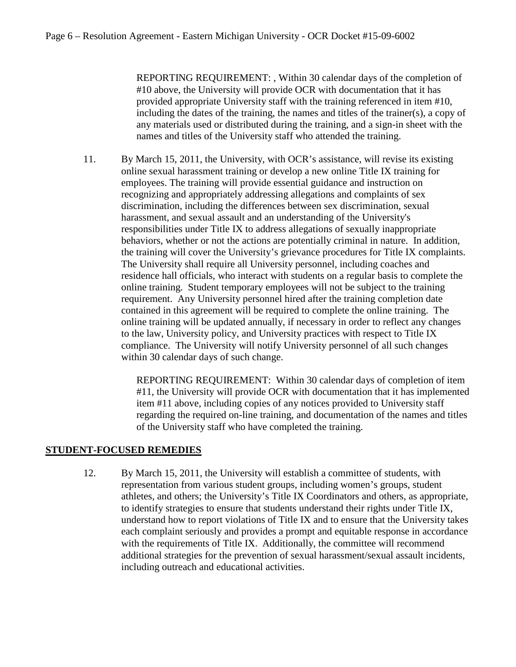REPORTING REQUIREMENT: , Within 30 calendar days of the completion of #10 above, the University will provide OCR with documentation that it has provided appropriate University staff with the training referenced in item #10, including the dates of the training, the names and titles of the trainer(s), a copy of any materials used or distributed during the training, and a sign-in sheet with the names and titles of the University staff who attended the training.

11. By March 15, 2011, the University, with OCR's assistance, will revise its existing online sexual harassment training or develop a new online Title IX training for employees. The training will provide essential guidance and instruction on recognizing and appropriately addressing allegations and complaints of sex discrimination, including the differences between sex discrimination, sexual harassment, and sexual assault and an understanding of the University's responsibilities under Title IX to address allegations of sexually inappropriate behaviors, whether or not the actions are potentially criminal in nature. In addition, the training will cover the University's grievance procedures for Title IX complaints. The University shall require all University personnel, including coaches and residence hall officials, who interact with students on a regular basis to complete the online training. Student temporary employees will not be subject to the training requirement. Any University personnel hired after the training completion date contained in this agreement will be required to complete the online training. The online training will be updated annually, if necessary in order to reflect any changes to the law, University policy, and University practices with respect to Title IX compliance. The University will notify University personnel of all such changes within 30 calendar days of such change.

> REPORTING REQUIREMENT: Within 30 calendar days of completion of item #11, the University will provide OCR with documentation that it has implemented item #11 above, including copies of any notices provided to University staff regarding the required on-line training, and documentation of the names and titles of the University staff who have completed the training.

#### **STUDENT-FOCUSED REMEDIES**

12. By March 15, 2011, the University will establish a committee of students, with representation from various student groups, including women's groups, student athletes, and others; the University's Title IX Coordinators and others, as appropriate, to identify strategies to ensure that students understand their rights under Title IX, understand how to report violations of Title IX and to ensure that the University takes each complaint seriously and provides a prompt and equitable response in accordance with the requirements of Title IX. Additionally, the committee will recommend additional strategies for the prevention of sexual harassment/sexual assault incidents, including outreach and educational activities.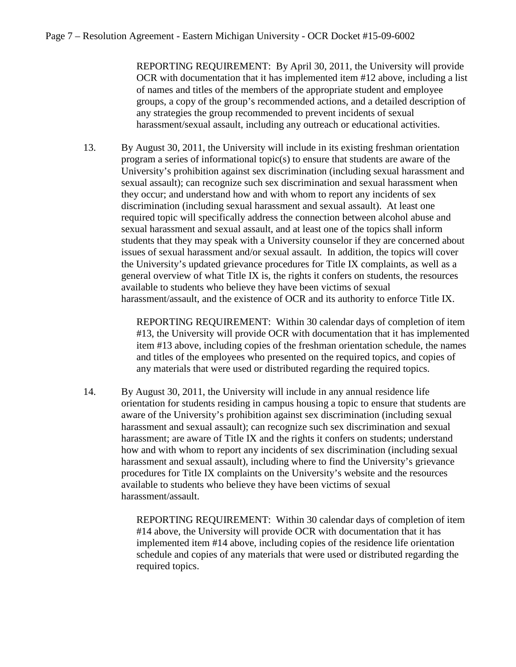REPORTING REQUIREMENT: By April 30, 2011, the University will provide OCR with documentation that it has implemented item #12 above, including a list of names and titles of the members of the appropriate student and employee groups, a copy of the group's recommended actions, and a detailed description of any strategies the group recommended to prevent incidents of sexual harassment/sexual assault, including any outreach or educational activities.

13. By August 30, 2011, the University will include in its existing freshman orientation program a series of informational topic(s) to ensure that students are aware of the University's prohibition against sex discrimination (including sexual harassment and sexual assault); can recognize such sex discrimination and sexual harassment when they occur; and understand how and with whom to report any incidents of sex discrimination (including sexual harassment and sexual assault). At least one required topic will specifically address the connection between alcohol abuse and sexual harassment and sexual assault, and at least one of the topics shall inform students that they may speak with a University counselor if they are concerned about issues of sexual harassment and/or sexual assault. In addition, the topics will cover the University's updated grievance procedures for Title IX complaints, as well as a general overview of what Title IX is, the rights it confers on students, the resources available to students who believe they have been victims of sexual harassment/assault, and the existence of OCR and its authority to enforce Title IX.

> REPORTING REQUIREMENT: Within 30 calendar days of completion of item #13, the University will provide OCR with documentation that it has implemented item #13 above, including copies of the freshman orientation schedule, the names and titles of the employees who presented on the required topics, and copies of any materials that were used or distributed regarding the required topics.

14. By August 30, 2011, the University will include in any annual residence life orientation for students residing in campus housing a topic to ensure that students are aware of the University's prohibition against sex discrimination (including sexual harassment and sexual assault); can recognize such sex discrimination and sexual harassment; are aware of Title IX and the rights it confers on students; understand how and with whom to report any incidents of sex discrimination (including sexual harassment and sexual assault), including where to find the University's grievance procedures for Title IX complaints on the University's website and the resources available to students who believe they have been victims of sexual harassment/assault.

> REPORTING REQUIREMENT: Within 30 calendar days of completion of item #14 above, the University will provide OCR with documentation that it has implemented item #14 above, including copies of the residence life orientation schedule and copies of any materials that were used or distributed regarding the required topics.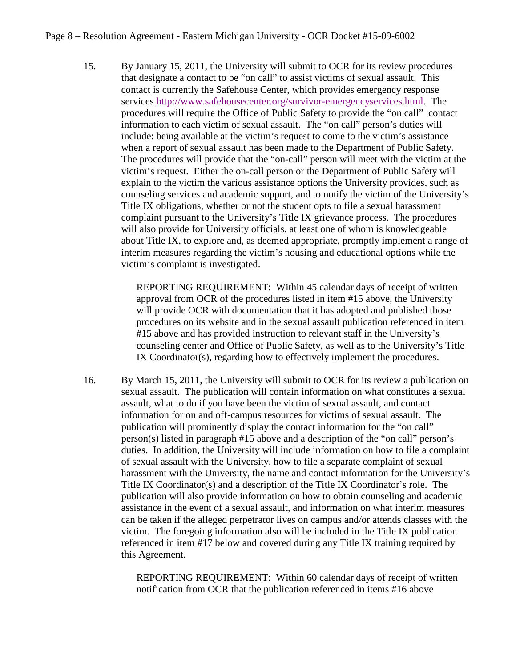15. By January 15, 2011, the University will submit to OCR for its review procedures that designate a contact to be "on call" to assist victims of sexual assault. This contact is currently the Safehouse Center, which provides emergency response services [http://www.safehousecenter.org/survivor-emergencyservices.html.](http://www.safehousecenter.org/survivor-emergencyservices.html) The procedures will require the Office of Public Safety to provide the "on call" contact information to each victim of sexual assault. The "on call" person's duties will include: being available at the victim's request to come to the victim's assistance when a report of sexual assault has been made to the Department of Public Safety. The procedures will provide that the "on-call" person will meet with the victim at the victim's request. Either the on-call person or the Department of Public Safety will explain to the victim the various assistance options the University provides, such as counseling services and academic support, and to notify the victim of the University's Title IX obligations, whether or not the student opts to file a sexual harassment complaint pursuant to the University's Title IX grievance process. The procedures will also provide for University officials, at least one of whom is knowledgeable about Title IX, to explore and, as deemed appropriate, promptly implement a range of interim measures regarding the victim's housing and educational options while the victim's complaint is investigated.

> REPORTING REQUIREMENT: Within 45 calendar days of receipt of written approval from OCR of the procedures listed in item #15 above, the University will provide OCR with documentation that it has adopted and published those procedures on its website and in the sexual assault publication referenced in item #15 above and has provided instruction to relevant staff in the University's counseling center and Office of Public Safety, as well as to the University's Title IX Coordinator(s), regarding how to effectively implement the procedures.

16. By March 15, 2011, the University will submit to OCR for its review a publication on sexual assault. The publication will contain information on what constitutes a sexual assault, what to do if you have been the victim of sexual assault, and contact information for on and off-campus resources for victims of sexual assault. The publication will prominently display the contact information for the "on call" person(s) listed in paragraph #15 above and a description of the "on call" person's duties. In addition, the University will include information on how to file a complaint of sexual assault with the University, how to file a separate complaint of sexual harassment with the University, the name and contact information for the University's Title IX Coordinator(s) and a description of the Title IX Coordinator's role. The publication will also provide information on how to obtain counseling and academic assistance in the event of a sexual assault, and information on what interim measures can be taken if the alleged perpetrator lives on campus and/or attends classes with the victim. The foregoing information also will be included in the Title IX publication referenced in item #17 below and covered during any Title IX training required by this Agreement.

> REPORTING REQUIREMENT: Within 60 calendar days of receipt of written notification from OCR that the publication referenced in items #16 above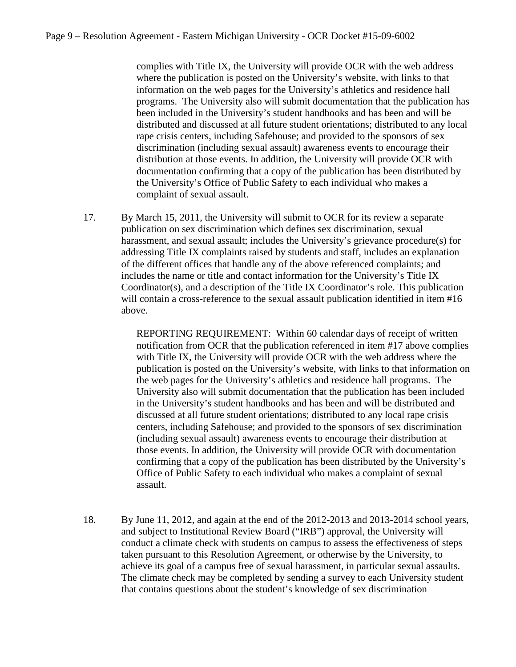complies with Title IX, the University will provide OCR with the web address where the publication is posted on the University's website, with links to that information on the web pages for the University's athletics and residence hall programs. The University also will submit documentation that the publication has been included in the University's student handbooks and has been and will be distributed and discussed at all future student orientations; distributed to any local rape crisis centers, including Safehouse; and provided to the sponsors of sex discrimination (including sexual assault) awareness events to encourage their distribution at those events. In addition, the University will provide OCR with documentation confirming that a copy of the publication has been distributed by the University's Office of Public Safety to each individual who makes a complaint of sexual assault.

17. By March 15, 2011, the University will submit to OCR for its review a separate publication on sex discrimination which defines sex discrimination, sexual harassment, and sexual assault; includes the University's grievance procedure(s) for addressing Title IX complaints raised by students and staff, includes an explanation of the different offices that handle any of the above referenced complaints; and includes the name or title and contact information for the University's Title IX Coordinator(s), and a description of the Title IX Coordinator's role. This publication will contain a cross-reference to the sexual assault publication identified in item #16 above.

> REPORTING REQUIREMENT: Within 60 calendar days of receipt of written notification from OCR that the publication referenced in item #17 above complies with Title IX, the University will provide OCR with the web address where the publication is posted on the University's website, with links to that information on the web pages for the University's athletics and residence hall programs. The University also will submit documentation that the publication has been included in the University's student handbooks and has been and will be distributed and discussed at all future student orientations; distributed to any local rape crisis centers, including Safehouse; and provided to the sponsors of sex discrimination (including sexual assault) awareness events to encourage their distribution at those events. In addition, the University will provide OCR with documentation confirming that a copy of the publication has been distributed by the University's Office of Public Safety to each individual who makes a complaint of sexual assault.

18. By June 11, 2012, and again at the end of the 2012-2013 and 2013-2014 school years, and subject to Institutional Review Board ("IRB") approval, the University will conduct a climate check with students on campus to assess the effectiveness of steps taken pursuant to this Resolution Agreement, or otherwise by the University, to achieve its goal of a campus free of sexual harassment, in particular sexual assaults. The climate check may be completed by sending a survey to each University student that contains questions about the student's knowledge of sex discrimination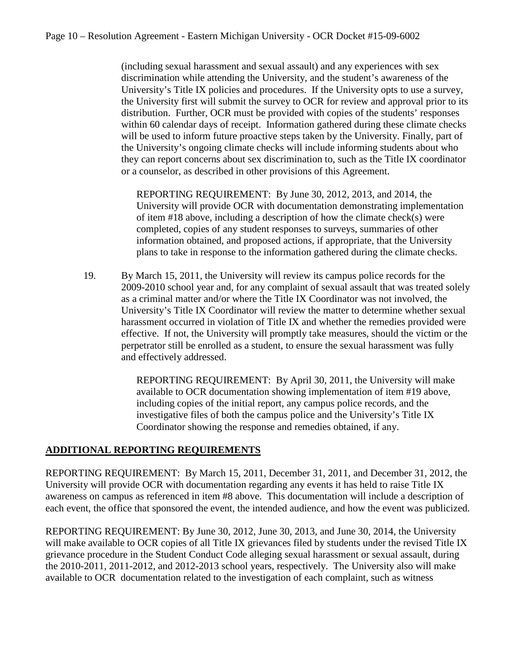(including sexual harassment and sexual assault) and any experiences with sex discrimination while attending the University, and the student's awareness of the University's Title IX policies and procedures. If the University opts to use a survey, the University first will submit the survey to OCR for review and approval prior to its distribution. Further, OCR must be provided with copies of the students' responses within 60 calendar days of receipt. Information gathered during these climate checks will be used to inform future proactive steps taken by the University. Finally, part of the University's ongoing climate checks will include informing students about who they can report concerns about sex discrimination to, such as the Title IX coordinator or a counselor, as described in other provisions of this Agreement.

REPORTING REQUIREMENT: By June 30, 2012, 2013, and 2014, the University will provide OCR with documentation demonstrating implementation of item #18 above, including a description of how the climate check(s) were completed, copies of any student responses to surveys, summaries of other information obtained, and proposed actions, if appropriate, that the University plans to take in response to the information gathered during the climate checks.

19. By March 15, 2011, the University will review its campus police records for the 2009-2010 school year and, for any complaint of sexual assault that was treated solely as a criminal matter and/or where the Title IX Coordinator was not involved, the University's Title IX Coordinator will review the matter to determine whether sexual harassment occurred in violation of Title IX and whether the remedies provided were effective. If not, the University will promptly take measures, should the victim or the perpetrator still be enrolled as a student, to ensure the sexual harassment was fully and effectively addressed.

> REPORTING REQUIREMENT: By April 30, 2011, the University will make available to OCR documentation showing implementation of item #19 above, including copies of the initial report, any campus police records, and the investigative files of both the campus police and the University's Title IX Coordinator showing the response and remedies obtained, if any.

## **ADDITIONAL REPORTING REQUIREMENTS**

REPORTING REQUIREMENT: By March 15, 2011, December 31, 2011, and December 31, 2012, the University will provide OCR with documentation regarding any events it has held to raise Title IX awareness on campus as referenced in item #8 above. This documentation will include a description of each event, the office that sponsored the event, the intended audience, and how the event was publicized.

REPORTING REQUIREMENT: By June 30, 2012, June 30, 2013, and June 30, 2014, the University will make available to OCR copies of all Title IX grievances filed by students under the revised Title IX grievance procedure in the Student Conduct Code alleging sexual harassment or sexual assault, during the 2010-2011, 2011-2012, and 2012-2013 school years, respectively. The University also will make available to OCR documentation related to the investigation of each complaint, such as witness